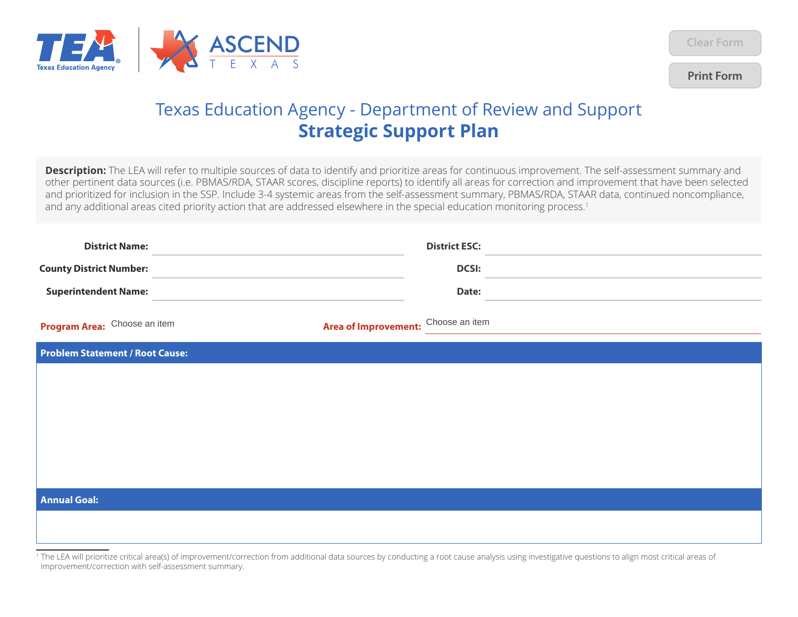

**Print Form**

## Texas Education Agency - Department of Review and Support **Strategic Support Plan**

priority additional that the **Description:** The LEA will refer to multiple sources of data to identify and prioritize areas for continuous improvement. The self-assessment summary and other pertinent data sources (i.e. PBMAS/RDA, STAAR scores, discipline reports) to identify all areas for correction and improvement that have been selected and prioritized for inclusion in the SSP. Include 3-4 systemic areas from the self-assessment summary, PBMAS/RDA, STAAR data, continued noncompliance, and any additional areas cited priority action that are addressed elsewhere in the special education monitoring process.<sup>1</sup>

| <b>District Name:</b>                  |                                     | <b>District ESC:</b> |  |
|----------------------------------------|-------------------------------------|----------------------|--|
| <b>County District Number:</b>         |                                     | <b>DCSI:</b>         |  |
| <b>Superintendent Name:</b>            |                                     | Date:                |  |
| Program Area: Choose an item           | Area of Improvement: Choose an item |                      |  |
| <b>Problem Statement / Root Cause:</b> |                                     |                      |  |
|                                        |                                     |                      |  |
|                                        |                                     |                      |  |
|                                        |                                     |                      |  |
|                                        |                                     |                      |  |
|                                        |                                     |                      |  |
| <b>Annual Goal:</b>                    |                                     |                      |  |
|                                        |                                     |                      |  |
|                                        |                                     |                      |  |

<sup>1</sup> The LEA will prioritize critical area(s) of improvement/correction from additional data sources by conducting a root cause analysis using investigative questions to align most critical areas of improvement/correction with self-assessment summary.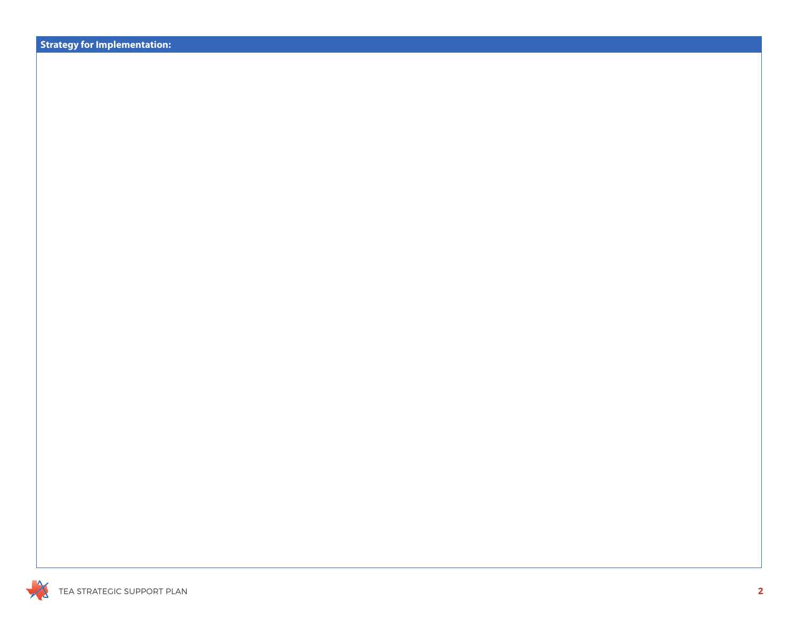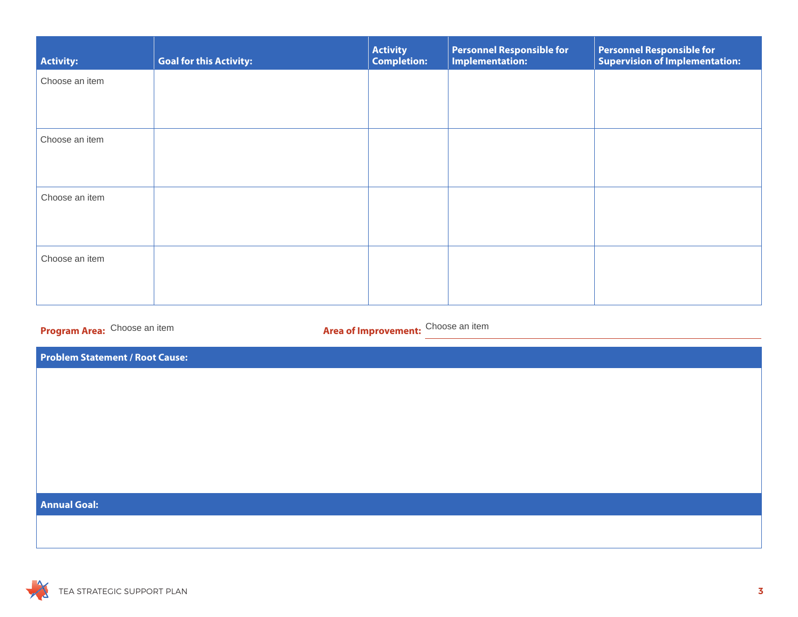| Activity:      | <b>Goal for this Activity:</b> | <b>Activity</b><br><b>Completion:</b> | <b>Personnel Responsible for</b><br><b>Implementation:</b> | <b>Personnel Responsible for</b><br><b>Supervision of Implementation:</b> |
|----------------|--------------------------------|---------------------------------------|------------------------------------------------------------|---------------------------------------------------------------------------|
| Choose an item |                                |                                       |                                                            |                                                                           |
|                |                                |                                       |                                                            |                                                                           |
| Choose an item |                                |                                       |                                                            |                                                                           |
|                |                                |                                       |                                                            |                                                                           |
| Choose an item |                                |                                       |                                                            |                                                                           |
|                |                                |                                       |                                                            |                                                                           |
| Choose an item |                                |                                       |                                                            |                                                                           |
|                |                                |                                       |                                                            |                                                                           |

**Program Area:** Choose an item

Area of Improvement: Choose an item

**Problem Statement / Root Cause:**

## **Annual Goal:**

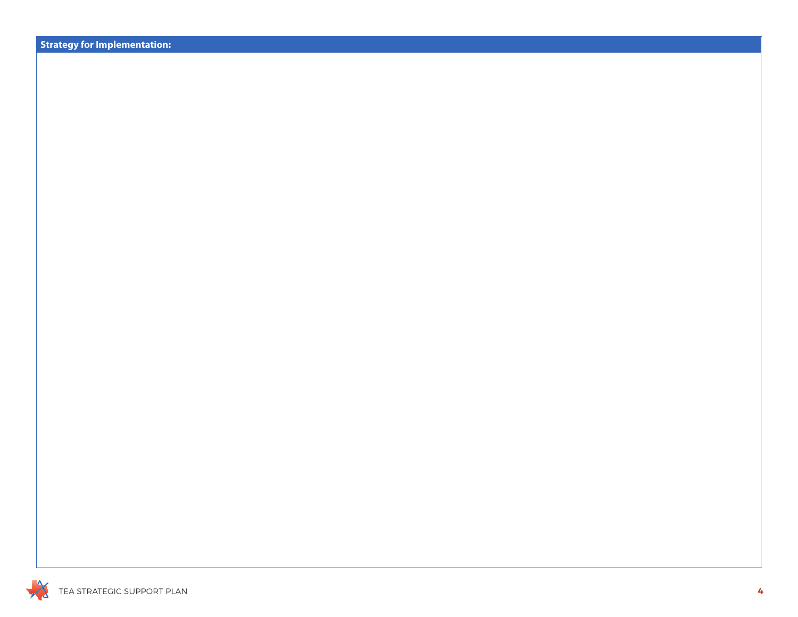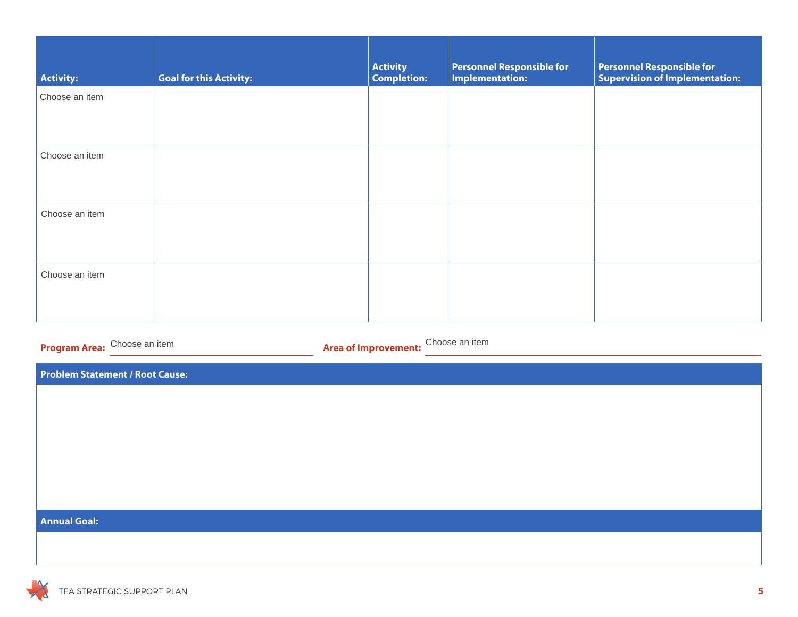| <b>Activity:</b>                                                              | <b>Goal for this Activity:</b> | <b>Activity</b><br>Completion: | <b>Personnel Responsible for<br/>Implementation:</b> | <b>Personnel Responsible for</b><br><b>Supervision of Implementation:</b> |  |
|-------------------------------------------------------------------------------|--------------------------------|--------------------------------|------------------------------------------------------|---------------------------------------------------------------------------|--|
| Choose an item                                                                |                                |                                |                                                      |                                                                           |  |
| Choose an item                                                                |                                |                                |                                                      |                                                                           |  |
| Choose an item                                                                |                                |                                |                                                      |                                                                           |  |
| Choose an item                                                                |                                |                                |                                                      |                                                                           |  |
| Choose an item<br>Program Area: Choose an item<br><b>Area of Improvement:</b> |                                |                                |                                                      |                                                                           |  |
| <b>Problem Statement / Root Cause:</b>                                        |                                |                                |                                                      |                                                                           |  |
|                                                                               |                                |                                |                                                      |                                                                           |  |
| <b>Annual Goal:</b>                                                           |                                |                                |                                                      |                                                                           |  |
|                                                                               |                                |                                |                                                      |                                                                           |  |

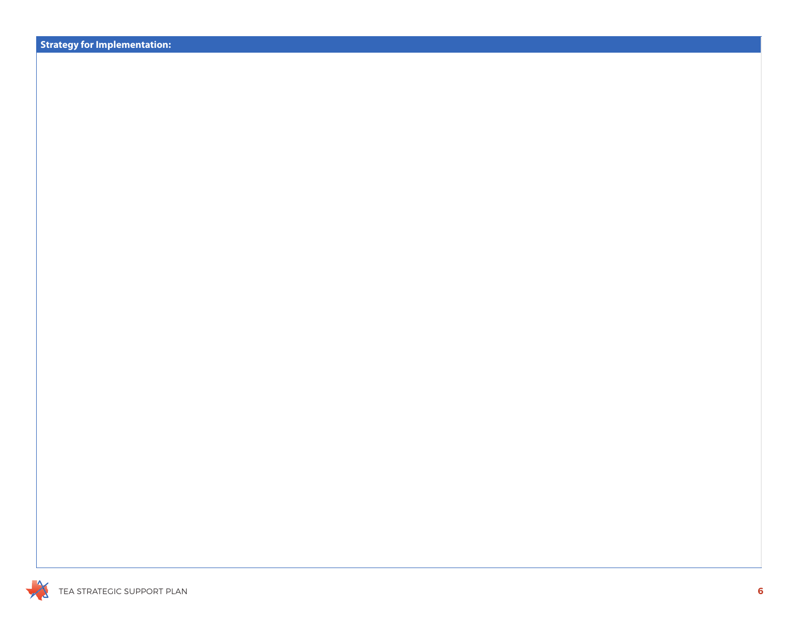